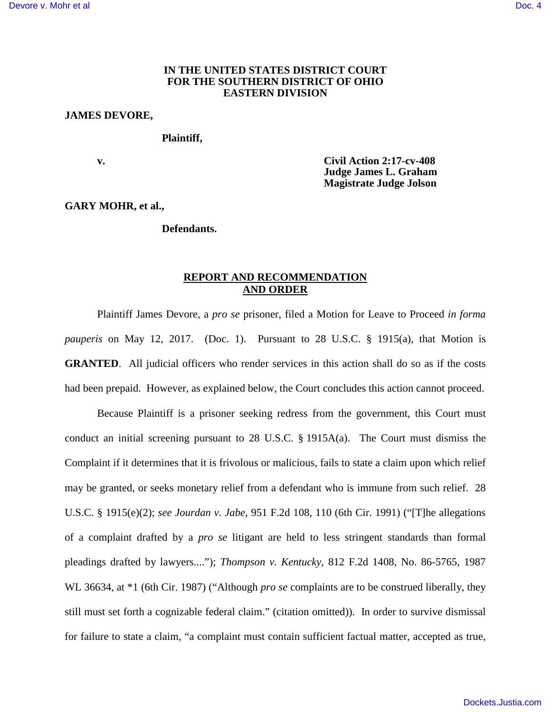## **IN THE UNITED STATES DISTRICT COURT FOR THE SOUTHERN DISTRICT OF OHIO EASTERN DIVISION**

## **JAMES DEVORE,**

## **Plaintiff,**

 **v. Civil Action 2:17-cv-408 Judge James L. Graham Magistrate Judge Jolson** 

**GARY MOHR, et al.,** 

 **Defendants.** 

# **REPORT AND RECOMMENDATION AND ORDER**

Plaintiff James Devore, a *pro se* prisoner, filed a Motion for Leave to Proceed *in forma pauperis* on May 12, 2017. (Doc. 1). Pursuant to 28 U.S.C. § 1915(a), that Motion is **GRANTED**. All judicial officers who render services in this action shall do so as if the costs had been prepaid. However, as explained below, the Court concludes this action cannot proceed.

Because Plaintiff is a prisoner seeking redress from the government, this Court must conduct an initial screening pursuant to 28 U.S.C. § 1915A(a). The Court must dismiss the Complaint if it determines that it is frivolous or malicious, fails to state a claim upon which relief may be granted, or seeks monetary relief from a defendant who is immune from such relief. 28 U.S.C. § 1915(e)(2); *see Jourdan v. Jabe*[, 951 F.2d 108, 110 \(6th Cir. 1991\)](https://1.next.westlaw.com/Link/Document/FullText?findType=Y&serNum=1991203557&pubNum=0000350&originatingDoc=I70c5c010e3e611e69a9296e6a6f4a986&refType=RP&fi=co_pp_sp_350_110&originationContext=document&transitionType=DocumentItem&contextData=(sc.Search)#co_pp_sp_350_110) ("[T]he allegations of a complaint drafted by a *pro se* litigant are held to less stringent standards than formal pleadings drafted by lawyers...."); *Thompson v. Kentucky*[, 812 F.2d 1408, No. 86-5765, 1987](https://1.next.westlaw.com/Link/Document/FullText?findType=Y&serNum=1987028864&pubNum=0000350&originatingDoc=I70c5c010e3e611e69a9296e6a6f4a986&refType=RP&originationContext=document&transitionType=DocumentItem&contextData=(sc.Search))  [WL 36634, at \\*1 \(6th Cir. 1987\)](https://1.next.westlaw.com/Link/Document/FullText?findType=Y&serNum=1987028864&pubNum=0000350&originatingDoc=I70c5c010e3e611e69a9296e6a6f4a986&refType=RP&originationContext=document&transitionType=DocumentItem&contextData=(sc.Search)) ("Although *pro se* complaints are to be construed liberally, they still must set forth a cognizable federal claim." (citation omitted)). In order to survive dismissal for failure to state a claim, "a complaint must contain sufficient factual matter, accepted as true,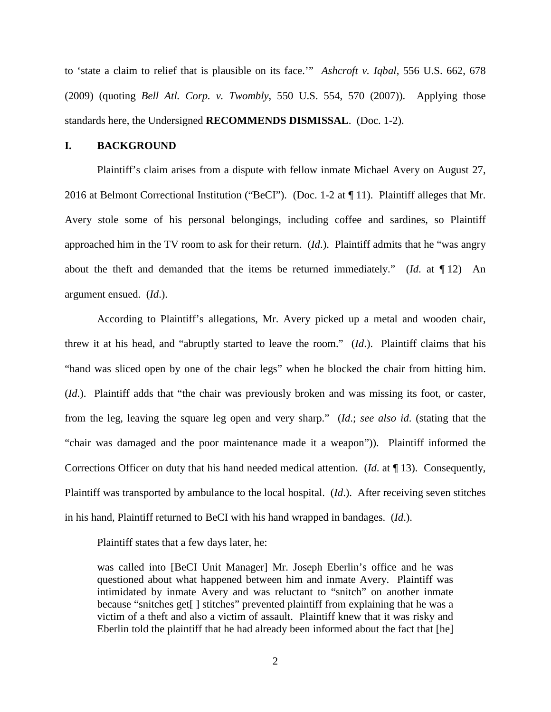to 'state a claim to relief that is plausible on its face.'" *Ashcroft v. Iqbal*[, 556 U.S. 662, 678](https://1.next.westlaw.com/Link/Document/FullText?findType=Y&serNum=2018848474&pubNum=0000780&originatingDoc=I70c5c010e3e611e69a9296e6a6f4a986&refType=RP&fi=co_pp_sp_780_678&originationContext=document&transitionType=DocumentItem&contextData=(sc.Search)#co_pp_sp_780_678)  [\(2009\)](https://1.next.westlaw.com/Link/Document/FullText?findType=Y&serNum=2018848474&pubNum=0000780&originatingDoc=I70c5c010e3e611e69a9296e6a6f4a986&refType=RP&fi=co_pp_sp_780_678&originationContext=document&transitionType=DocumentItem&contextData=(sc.Search)#co_pp_sp_780_678) (quoting *Bell Atl. Corp. v. Twombly*, 550 U.S. 554, 570 (2007)). Applying those standards here, the Undersigned **RECOMMENDS DISMISSAL**. (Doc. 1-2).

### **I. BACKGROUND**

Plaintiff's claim arises from a dispute with fellow inmate Michael Avery on August 27, 2016 at Belmont Correctional Institution ("BeCI"). (Doc. 1-2 at ¶ 11). Plaintiff alleges that Mr. Avery stole some of his personal belongings, including coffee and sardines, so Plaintiff approached him in the TV room to ask for their return. (*Id*.). Plaintiff admits that he "was angry about the theft and demanded that the items be returned immediately." (*Id*. at ¶ 12) An argument ensued. (*Id*.).

According to Plaintiff's allegations, Mr. Avery picked up a metal and wooden chair, threw it at his head, and "abruptly started to leave the room." (*Id*.). Plaintiff claims that his "hand was sliced open by one of the chair legs" when he blocked the chair from hitting him. (*Id*.). Plaintiff adds that "the chair was previously broken and was missing its foot, or caster, from the leg, leaving the square leg open and very sharp." (*Id*.; *see also id*. (stating that the "chair was damaged and the poor maintenance made it a weapon")). Plaintiff informed the Corrections Officer on duty that his hand needed medical attention. (*Id*. at ¶ 13). Consequently, Plaintiff was transported by ambulance to the local hospital. (*Id*.). After receiving seven stitches in his hand, Plaintiff returned to BeCI with his hand wrapped in bandages. (*Id*.).

Plaintiff states that a few days later, he:

was called into [BeCI Unit Manager] Mr. Joseph Eberlin's office and he was questioned about what happened between him and inmate Avery. Plaintiff was intimidated by inmate Avery and was reluctant to "snitch" on another inmate because "snitches get<sup>[]</sup> stitches" prevented plaintiff from explaining that he was a victim of a theft and also a victim of assault. Plaintiff knew that it was risky and Eberlin told the plaintiff that he had already been informed about the fact that [he]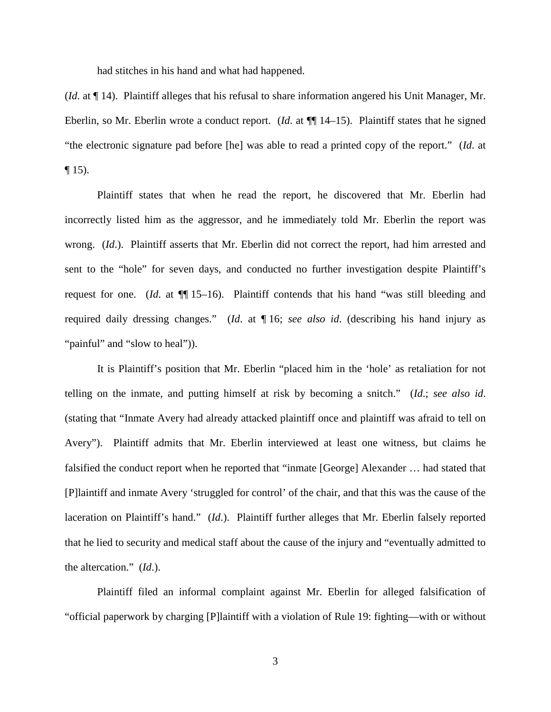had stitches in his hand and what had happened.

(*Id*. at ¶ 14). Plaintiff alleges that his refusal to share information angered his Unit Manager, Mr. Eberlin, so Mr. Eberlin wrote a conduct report. (*Id*. at ¶¶ 14–15). Plaintiff states that he signed "the electronic signature pad before [he] was able to read a printed copy of the report." (*Id*. at  $\P$  15).

Plaintiff states that when he read the report, he discovered that Mr. Eberlin had incorrectly listed him as the aggressor, and he immediately told Mr. Eberlin the report was wrong. (*Id*.). Plaintiff asserts that Mr. Eberlin did not correct the report, had him arrested and sent to the "hole" for seven days, and conducted no further investigation despite Plaintiff's request for one. (*Id.* at  $\P$ [15–16). Plaintiff contends that his hand "was still bleeding and required daily dressing changes." (*Id*. at ¶ 16; *see also id*. (describing his hand injury as "painful" and "slow to heal")).

It is Plaintiff's position that Mr. Eberlin "placed him in the 'hole' as retaliation for not telling on the inmate, and putting himself at risk by becoming a snitch." (*Id*.; *see also id*. (stating that "Inmate Avery had already attacked plaintiff once and plaintiff was afraid to tell on Avery"). Plaintiff admits that Mr. Eberlin interviewed at least one witness, but claims he falsified the conduct report when he reported that "inmate [George] Alexander … had stated that [P]laintiff and inmate Avery 'struggled for control' of the chair, and that this was the cause of the laceration on Plaintiff's hand." (*Id*.). Plaintiff further alleges that Mr. Eberlin falsely reported that he lied to security and medical staff about the cause of the injury and "eventually admitted to the altercation." (*Id*.).

Plaintiff filed an informal complaint against Mr. Eberlin for alleged falsification of "official paperwork by charging [P]laintiff with a violation of Rule 19: fighting—with or without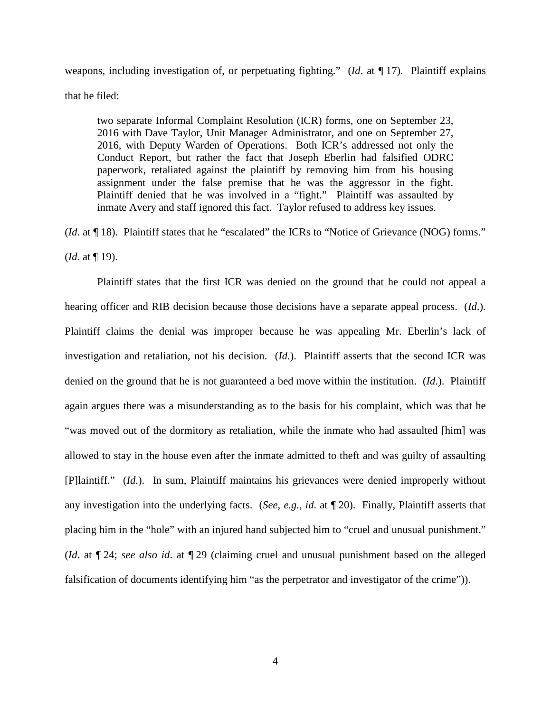weapons, including investigation of, or perpetuating fighting." (*Id*. at ¶ 17). Plaintiff explains that he filed:

two separate Informal Complaint Resolution (ICR) forms, one on September 23, 2016 with Dave Taylor, Unit Manager Administrator, and one on September 27, 2016, with Deputy Warden of Operations. Both ICR's addressed not only the Conduct Report, but rather the fact that Joseph Eberlin had falsified ODRC paperwork, retaliated against the plaintiff by removing him from his housing assignment under the false premise that he was the aggressor in the fight. Plaintiff denied that he was involved in a "fight." Plaintiff was assaulted by inmate Avery and staff ignored this fact. Taylor refused to address key issues.

(*Id.* at ¶ 18). Plaintiff states that he "escalated" the ICRs to "Notice of Grievance (NOG) forms." (*Id*. at ¶ 19).

Plaintiff states that the first ICR was denied on the ground that he could not appeal a hearing officer and RIB decision because those decisions have a separate appeal process. (*Id*.). Plaintiff claims the denial was improper because he was appealing Mr. Eberlin's lack of investigation and retaliation, not his decision. (*Id*.). Plaintiff asserts that the second ICR was denied on the ground that he is not guaranteed a bed move within the institution. (*Id*.). Plaintiff again argues there was a misunderstanding as to the basis for his complaint, which was that he "was moved out of the dormitory as retaliation, while the inmate who had assaulted [him] was allowed to stay in the house even after the inmate admitted to theft and was guilty of assaulting [P]laintiff." (*Id*.). In sum, Plaintiff maintains his grievances were denied improperly without any investigation into the underlying facts. (*See, e.g.*, *id*. at ¶ 20). Finally, Plaintiff asserts that placing him in the "hole" with an injured hand subjected him to "cruel and unusual punishment." (*Id*. at ¶ 24; *see also id*. at ¶ 29 (claiming cruel and unusual punishment based on the alleged falsification of documents identifying him "as the perpetrator and investigator of the crime")).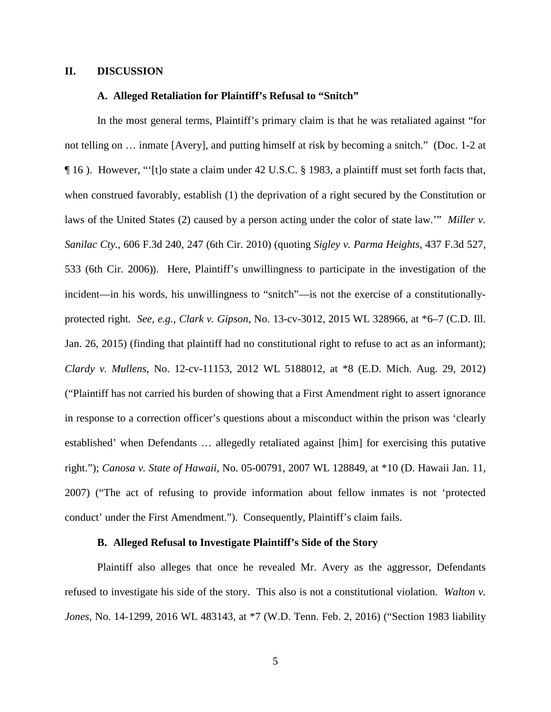## **II. DISCUSSION**

## **A. Alleged Retaliation for Plaintiff's Refusal to "Snitch"**

In the most general terms, Plaintiff's primary claim is that he was retaliated against "for not telling on … inmate [Avery], and putting himself at risk by becoming a snitch." (Doc. 1-2 at ¶ 16 ). However, "'[t]o state a claim under [42 U.S.C. § 1983,](https://1.next.westlaw.com/Link/Document/FullText?findType=L&pubNum=1000546&cite=42USCAS1983&originatingDoc=Ia9af2e10079011e0aa23bccc834e9520&refType=LQ&originationContext=document&transitionType=DocumentItem&contextData=(sc.Search)) a plaintiff must set forth facts that, when construed favorably, establish (1) the deprivation of a right secured by the Constitution or laws of the United States (2) caused by a person acting under the color of state law.'" *[Miller v.](https://1.next.westlaw.com/Link/Document/FullText?findType=Y&serNum=2022237335&pubNum=506&originatingDoc=Ia9af2e10079011e0aa23bccc834e9520&refType=RP&fi=co_pp_sp_506_247&originationContext=document&transitionType=DocumentItem&contextData=(sc.Search)#co_pp_sp_506_247)  Sanilac Cty.*[, 606 F.3d 240, 247 \(6th Cir. 2010\)](https://1.next.westlaw.com/Link/Document/FullText?findType=Y&serNum=2022237335&pubNum=506&originatingDoc=Ia9af2e10079011e0aa23bccc834e9520&refType=RP&fi=co_pp_sp_506_247&originationContext=document&transitionType=DocumentItem&contextData=(sc.Search)#co_pp_sp_506_247) (quoting *[Sigley v. Parma Heights](https://1.next.westlaw.com/Link/Document/FullText?findType=Y&serNum=2008388207&pubNum=506&originatingDoc=Ia9af2e10079011e0aa23bccc834e9520&refType=RP&fi=co_pp_sp_506_533&originationContext=document&transitionType=DocumentItem&contextData=(sc.Search)#co_pp_sp_506_533)*, 437 F.3d 527, [533 \(6th Cir. 2006\)](https://1.next.westlaw.com/Link/Document/FullText?findType=Y&serNum=2008388207&pubNum=506&originatingDoc=Ia9af2e10079011e0aa23bccc834e9520&refType=RP&fi=co_pp_sp_506_533&originationContext=document&transitionType=DocumentItem&contextData=(sc.Search)#co_pp_sp_506_533)). Here, Plaintiff's unwillingness to participate in the investigation of the incident—in his words, his unwillingness to "snitch"—is not the exercise of a constitutionallyprotected right. *See, e.g.*, *Clark v. Gipson*, No. 13-cv-3012, 2015 WL 328966, at \*6–7 (C.D. Ill. Jan. 26, 2015) (finding that plaintiff had no constitutional right to refuse to act as an informant); *Clardy v. Mullens*, No. 12-cv-11153, 2012 WL 5188012, at \*8 (E.D. Mich. Aug. 29, 2012) ("Plaintiff has not carried his burden of showing that a First Amendment right to assert ignorance in response to a correction officer's questions about a misconduct within the prison was 'clearly established' when Defendants … allegedly retaliated against [him] for exercising this putative right."); *Canosa v. State of Hawaii*[, No. 05-00791, 2007 WL 128849, at \\*10](https://1.next.westlaw.com/Link/Document/FullText?findType=Y&serNum=2011233775&pubNum=0000999&originatingDoc=I183230e0a60411e496a7f0c07ce33cee&refType=RP&originationContext=document&transitionType=DocumentItem&contextData=(sc.Search)) (D. Hawaii Jan. 11, [2007\)](https://1.next.westlaw.com/Link/Document/FullText?findType=Y&serNum=2011233775&pubNum=0000999&originatingDoc=I183230e0a60411e496a7f0c07ce33cee&refType=RP&originationContext=document&transitionType=DocumentItem&contextData=(sc.Search)) ("The act of refusing to provide information about fellow inmates is not 'protected conduct' under the First Amendment."). Consequently, Plaintiff's claim fails.

## **B. Alleged Refusal to Investigate Plaintiff's Side of the Story**

Plaintiff also alleges that once he revealed Mr. Avery as the aggressor, Defendants refused to investigate his side of the story. This also is not a constitutional violation. *Walton v. Jones*, No. 14-1299, 2016 WL 483143, at \*7 (W.D. Tenn. Feb. 2, 2016) ("Section 1983 liability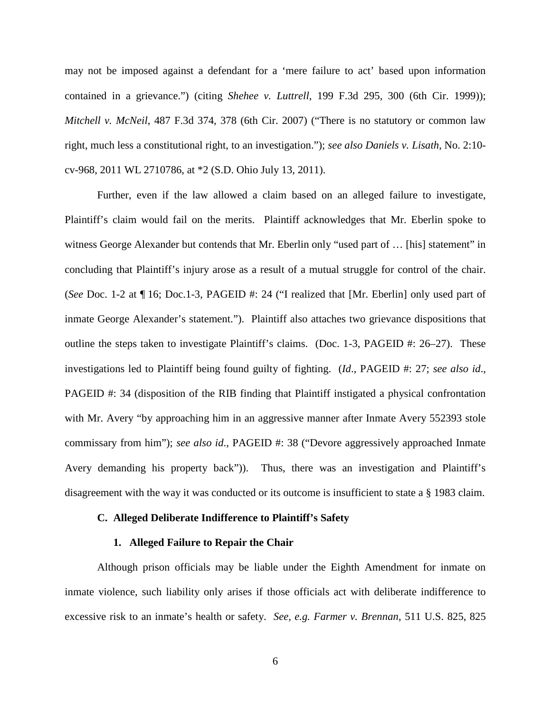may not be imposed against a defendant for a 'mere failure to act' based upon information contained in a grievance.") (citing *Shehee v. Luttrell*, 199 F.3d 295, 300 (6th Cir. 1999)); *Mitchell v. McNeil*, 487 F.3d [374, 378 \(6th Cir. 2007\)](https://1.next.westlaw.com/Link/Document/FullText?findType=Y&serNum=2012250082&pubNum=506&originatingDoc=Ia9af2e10079011e0aa23bccc834e9520&refType=RP&fi=co_pp_sp_506_378&originationContext=document&transitionType=DocumentItem&contextData=(sc.Search)#co_pp_sp_506_378) ("There is no statutory or common law right, much less a constitutional right, to an investigation."); *see also [Daniels v. Lisath](https://1.next.westlaw.com/Link/Document/FullText?findType=Y&serNum=2025654584&pubNum=0000999&originatingDoc=I0214481eaaba11e4a795ac035416da91&refType=RP&originationContext=document&transitionType=DocumentItem&contextData=(sc.Search))*, No. 2:10 [cv-968, 2011 WL 2710786, at \\*2 \(S.D. Ohio July 13, 2011\).](https://1.next.westlaw.com/Link/Document/FullText?findType=Y&serNum=2025654584&pubNum=0000999&originatingDoc=I0214481eaaba11e4a795ac035416da91&refType=RP&originationContext=document&transitionType=DocumentItem&contextData=(sc.Search))

Further, even if the law allowed a claim based on an alleged failure to investigate, Plaintiff's claim would fail on the merits. Plaintiff acknowledges that Mr. Eberlin spoke to witness George Alexander but contends that Mr. Eberlin only "used part of … [his] statement" in concluding that Plaintiff's injury arose as a result of a mutual struggle for control of the chair. (*See* Doc. 1-2 at ¶ 16; Doc.1-3, PAGEID #: 24 ("I realized that [Mr. Eberlin] only used part of inmate George Alexander's statement."). Plaintiff also attaches two grievance dispositions that outline the steps taken to investigate Plaintiff's claims. (Doc. 1-3, PAGEID #: 26–27). These investigations led to Plaintiff being found guilty of fighting. (*Id*., PAGEID #: 27; *see also id*., PAGEID #: 34 (disposition of the RIB finding that Plaintiff instigated a physical confrontation with Mr. Avery "by approaching him in an aggressive manner after Inmate Avery 552393 stole commissary from him"); *see also id*., PAGEID #: 38 ("Devore aggressively approached Inmate Avery demanding his property back")). Thus, there was an investigation and Plaintiff's disagreement with the way it was conducted or its outcome is insufficient to state a § 1983 claim.

## **C. Alleged Deliberate Indifference to Plaintiff's Safety**

## **1. Alleged Failure to Repair the Chair**

Although prison officials may be liable under the Eighth Amendment for inmate on inmate violence, such liability only arises if those officials act with deliberate indifference to excessive risk to an inmate's health or safety. *See, e.g. Farmer v. Brennan*, 511 U.S. 825, 825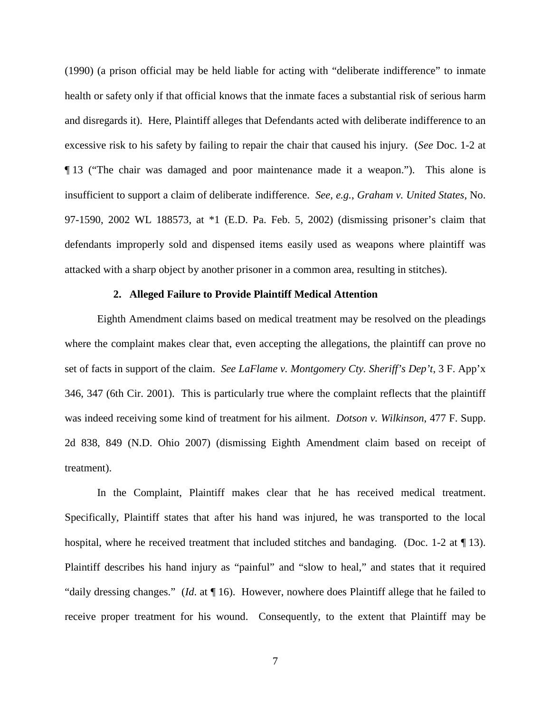(1990) (a prison official may be held liable for acting with "deliberate indifference" to inmate health or safety only if that official knows that the inmate faces a substantial risk of serious harm and disregards it). Here, Plaintiff alleges that Defendants acted with deliberate indifference to an excessive risk to his safety by failing to repair the chair that caused his injury. (*See* Doc. 1-2 at ¶ 13 ("The chair was damaged and poor maintenance made it a weapon."). This alone is insufficient to support a claim of deliberate indifference. *See, e.g.*, *Graham v. United States*, No. 97-1590, 2002 WL 188573, at \*1 (E.D. Pa. Feb. 5, 2002) (dismissing prisoner's claim that defendants improperly sold and dispensed items easily used as weapons where plaintiff was attacked with a sharp object by another prisoner in a common area, resulting in stitches).

## **2. Alleged Failure to Provide Plaintiff Medical Attention**

Eighth Amendment claims based on medical treatment may be resolved on the pleadings where the complaint makes clear that, even accepting the allegations, the plaintiff can prove no set of facts in support of the claim. *See LaFlame v. Montgomery Cty. Sheriff's Dep't*, 3 F. App'x 346, 347 (6th Cir. 2001). This is particularly true where the complaint reflects that the plaintiff was indeed receiving some kind of treatment for his ailment. *Dotson v. Wilkinson*, 477 F. Supp. 2d 838, 849 (N.D. Ohio 2007) (dismissing Eighth Amendment claim based on receipt of treatment).

In the Complaint, Plaintiff makes clear that he has received medical treatment. Specifically, Plaintiff states that after his hand was injured, he was transported to the local hospital, where he received treatment that included stitches and bandaging. (Doc. 1-2 at  $\P$ 13). Plaintiff describes his hand injury as "painful" and "slow to heal," and states that it required "daily dressing changes." (*Id*. at ¶ 16). However, nowhere does Plaintiff allege that he failed to receive proper treatment for his wound. Consequently, to the extent that Plaintiff may be